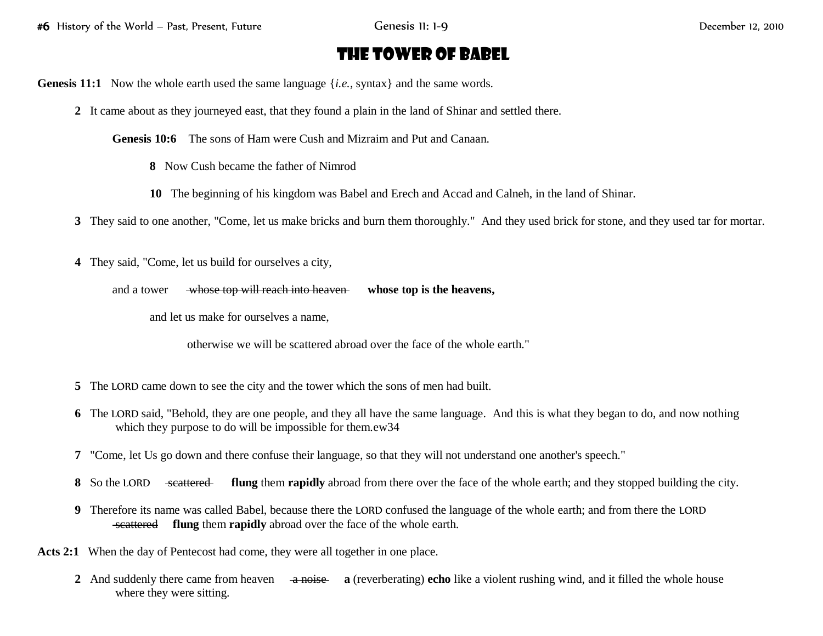## The Tower of Babel

**Genesis 11:1** Now the whole earth used the same language {*i.e.*, syntax} and the same words.

**2** It came about as they journeyed east, that they found a plain in the land of Shinar and settled there.

**Genesis 10:6** The sons of Ham were Cush and Mizraim and Put and Canaan.

- **8** Now Cush became the father of Nimrod
- **10** The beginning of his kingdom was Babel and Erech and Accad and Calneh, in the land of Shinar.

**3** They said to one another, "Come, let us make bricks and burn them thoroughly." And they used brick for stone, and they used tar for mortar.

**4** They said, "Come, let us build for ourselves a city,

```
and a tower whose top will reach into heaven whose top is the heavens,
```
and let us make for ourselves a name,

otherwise we will be scattered abroad over the face of the whole earth."

- **5** The LORD came down to see the city and the tower which the sons of men had built.
- **6** The LORD said, "Behold, they are one people, and they all have the same language. And this is what they began to do, and now nothing which they purpose to do will be impossible for them.ew34
- **7** "Come, let Us go down and there confuse their language, so that they will not understand one another's speech."
- **8** So the LORD scattered flung them **rapidly** abroad from there over the face of the whole earth; and they stopped building the city.
- **9** Therefore its name was called Babel, because there the LORD confused the language of the whole earth; and from there the LORD scattered **flung** them **rapidly** abroad over the face of the whole earth.
- **Acts 2:1** When the day of Pentecost had come, they were all together in one place.
	- **2** And suddenly there came from heaven a noise **a** (reverberating) **echo** like a violent rushing wind, and it filled the whole house where they were sitting.